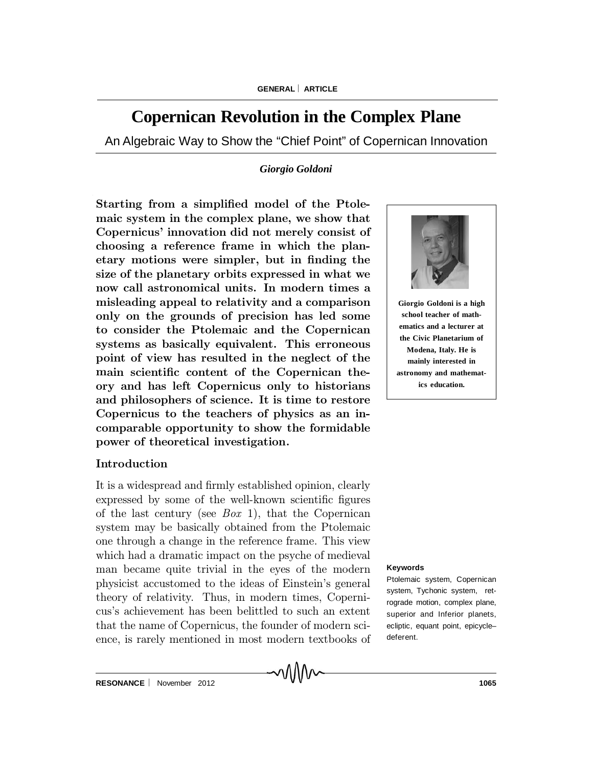# **Copernican Revolution in the Complex Plane**

An Algebraic Way to Show the "Chief Point" of Copernican Innovation

### *Giorgio Goldoni*

Starting from a simplified model of the Ptolemaic system in the complex plane, we show that Copernicus' innovation did not merely consist of choosing a reference frame in which the planetary motions were simpler, but in finding the size of the planetary orbits expressed in what we now call astronomical units. In modern times a misleading appeal to relativity and a comparison only on the grounds of precision has led some to consider the Ptolemaic and the Copernican systems as basically equivalent. This erroneous point of view has resulted in the neglect of the main scientific content of the Copernican theory and has left Copernicus only to historians and philosophers of science. It is time to restore Copernicus to the teachers of physics as an incomparable opportunity to show the formidable power of theoretical investigation.

## Introduction

It is a widespread and firmly established opinion, clearly expressed by some of the well-known scientific figures of the last century (see  $Box$  1), that the Copernican system may be basically obtained from the Ptolemaic one through a change in the reference frame. This view which had a dramatic impact on the psyche of medieval man became quite trivial in the eyes of the modern physicist accustomed to the ideas of Einstein's general theory of relativity. Thus, in modern times, Copernicus's achievement has been belittled to such an extent that the name of Copernicus, the founder of modern science, is rarely mentioned in most modern textbooks of



**Giorgio Goldoni is a high school teacher of mathematics and a lecturer at the Civic Planetarium of Modena, Italy. He is mainly interested in astronomy and mathematics education.**

#### **Keywords**

Ptolemaic system, Copernican system, Tychonic system, retrograde motion, complex plane, superior and Inferior planets, ecliptic, equant point, epicycle– deferent.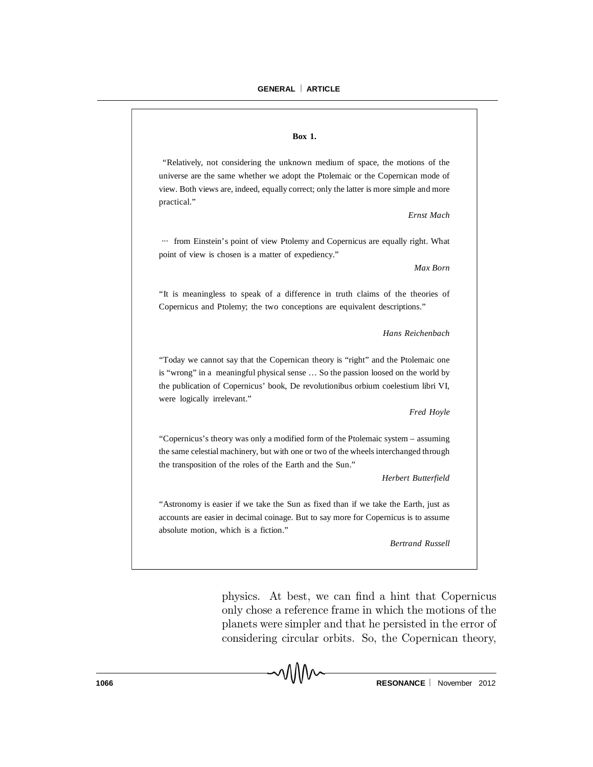#### **Box 1.**

"Relatively, not considering the unknown medium of space, the motions of the universe are the same whether we adopt the Ptolemaic or the Copernican mode of view. Both views are, indeed, equally correct; only the latter is more simple and more practical."

*Ernst Mach*

... from Einstein's point of view Ptolemy and Copernicus are equally right. What point of view is chosen is a matter of expediency."

*Max Born*

"It is meaningless to speak of a difference in truth claims of the theories of Copernicus and Ptolemy; the two conceptions are equivalent descriptions."

*Hans Reichenbach*

"Today we cannot say that the Copernican theory is "right" and the Ptolemaic one is "wrong" in a meaningful physical sense … So the passion loosed on the world by the publication of Copernicus' book, De revolutionibus orbium coelestium libri VI, were logically irrelevant."

*Fred Hoyle*

"Copernicus's theory was only a modified form of the Ptolemaic system – assuming the same celestial machinery, but with one or two of the wheels interchanged through the transposition of the roles of the Earth and the Sun."

*Herbert Butterfield*

"Astronomy is easier if we take the Sun as fixed than if we take the Earth, just as accounts are easier in decimal coinage. But to say more for Copernicus is to assume absolute motion, which is a fiction."

*Bertrand Russell*

physics. At best, we can find a hint that Copernicus only chose a reference frame in which the motions of the planets were simpler and that he persisted in the error of considering circular orbits. So, the Copernican theory,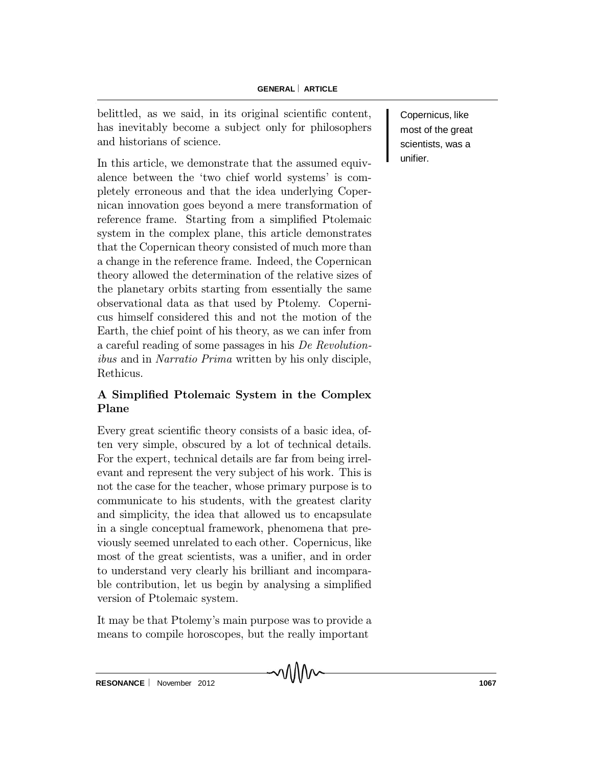belittled, as we said, in its original scientific content, has inevitably become a subject only for philosophers and historians of science.

In this article, we demonstrate that the assumed equivalence between the `two chief world systems' is completely erroneous and that the idea underlying Copernican innovation goes beyond a mere transformation of reference frame. Starting from a simplified Ptolemaic system in the complex plane, this article demonstrates that the Copernican theory consisted of much more than a change in the reference frame. Indeed, the Copernican theory allowed the determination of the relative sizes of the planetary orbits starting from essentially the same observational data as that used by Ptolemy. Copernicus himself considered this and not the motion of the Earth, the chief point of his theory, as we can infer from a careful reading of some passages in his De Revolutionibus and in Narratio Prima written by his only disciple, Rethicus.

# A Simplified Ptolemaic System in the Complex Plane

Every great scientific theory consists of a basic idea, often very simple, obscured by a lot of technical details. For the expert, technical details are far from being irrelevant and represent the very subject of his work. This is not the case for the teacher, whose primary purpose is to communicate to his students, with the greatest clarity and simplicity, the idea that allowed us to encapsulate in a single conceptual framework, phenomena that previously seemed unrelated to each other. Copernicus, like most of the great scientists, was a unifier, and in order to understand very clearly his brilliant and incomparable contribution, let us begin by analysing a simplified version of Ptolemaic system.

It may be that Ptolemy's main purpose was to provide a means to compile horoscopes, but the really important

∧∧Ո∧∧

Copernicus, like most of the great scientists, was a unifier.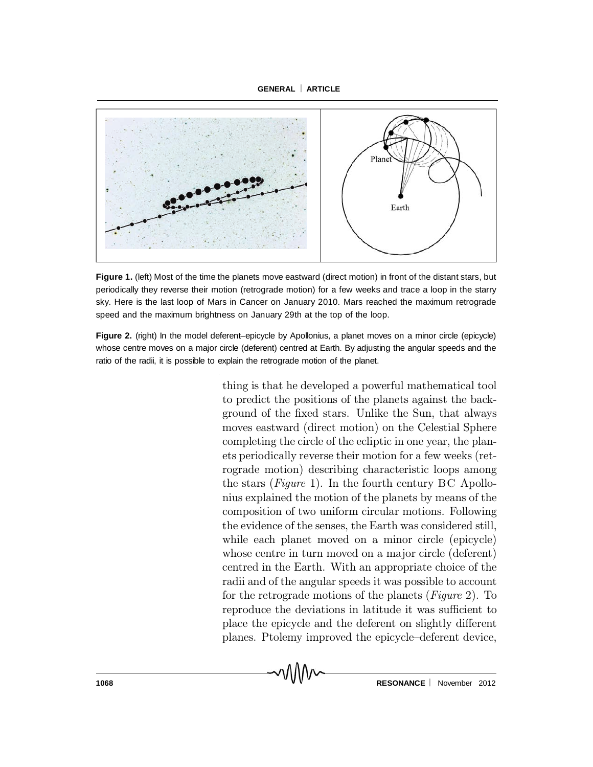



**Figure 1.** (left) Most of the time the planets move eastward (direct motion) in front of the distant stars, but periodically they reverse their motion (retrograde motion) for a few weeks and trace a loop in the starry sky. Here is the last loop of Mars in Cancer on January 2010. Mars reached the maximum retrograde speed and the maximum brightness on January 29th at the top of the loop.

**Figure 2.** (right) In the model deferent–epicycle by Apollonius, a planet moves on a minor circle (epicycle) whose centre moves on a major circle (deferent) centred at Earth. By adjusting the angular speeds and the ratio of the radii, it is possible to explain the retrograde motion of the planet.

> thing is that he developed a powerful mathematical tool to predict the positions of the planets against the background of the fixed stars. Unlike the Sun, that always moves eastward (direct motion) on the Celestial Sphere completing the circle of the ecliptic in one year, the planets periodically reverse their motion for a few weeks (retrograde motion) describing characteristic loops among the stars (*Figure* 1). In the fourth century BC Apollonius explained the motion of the planets by means of the composition of two uniform circular motions. Following the evidence of the senses, the Earth was considered still, while each planet moved on a minor circle (epicycle) whose centre in turn moved on a major circle (deferent) centred in the Earth. With an appropriate choice of the radii and of the angular speeds it was possible to account for the retrograde motions of the planets (Figure 2). To reproduce the deviations in latitude it was sufficient to place the epicycle and the deferent on slightly different planes. Ptolemy improved the epicycle-deferent device,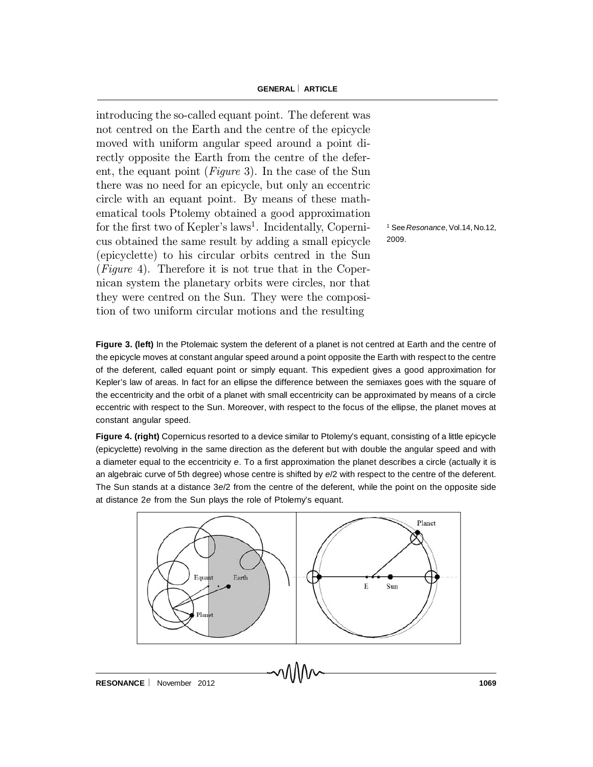introducing the so-called equant point. The deferent was not centred on the Earth and the centre of the epicycle moved with uniform angular speed around a point directly opposite the Earth from the centre of the deferent, the equant point (Figure 3). In the case of the Sun there was no need for an epicycle, but only an eccentric circle with an equant point. By means of these mathematical tools Ptolemy obtained a good approximation for the first two of Kepler's laws<sup>1</sup>. Incidentally, Copernicus obtained the same result by adding a small epicycle (epicyclette) to his circular orbits centred in the Sun (Figure 4). Therefore it is not true that in the Copernican system the planetary orbits were circles, nor that they were centred on the Sun. They were the composition of two uniform circular motions and the resulting

<sup>1</sup> See*Resonance*, Vol.14, No.12, 2009.

**Figure 3. (left)** In the Ptolemaic system the deferent of a planet is not centred at Earth and the centre of the epicycle moves at constant angular speed around a point opposite the Earth with respect to the centre of the deferent, called equant point or simply equant. This expedient gives a good approximation for Kepler's law of areas. In fact for an ellipse the difference between the semiaxes goes with the square of the eccentricity and the orbit of a planet with small eccentricity can be approximated by means of a circle eccentric with respect to the Sun. Moreover, with respect to the focus of the ellipse, the planet moves at constant angular speed.

**Figure 4. (right)** Copernicus resorted to a device similar to Ptolemy's equant, consisting of a little epicycle (epicyclette) revolving in the same direction as the deferent but with double the angular speed and with a diameter equal to the eccentricity *e*. To a first approximation the planet describes a circle (actually it is an algebraic curve of 5th degree) whose centre is shifted by *e*/2 with respect to the centre of the deferent. The Sun stands at a distance 3*e*/2 from the centre of the deferent, while the point on the opposite side at distance 2*e* from the Sun plays the role of Ptolemy's equant.



**RESONANCE** November 2012 **1069 1069**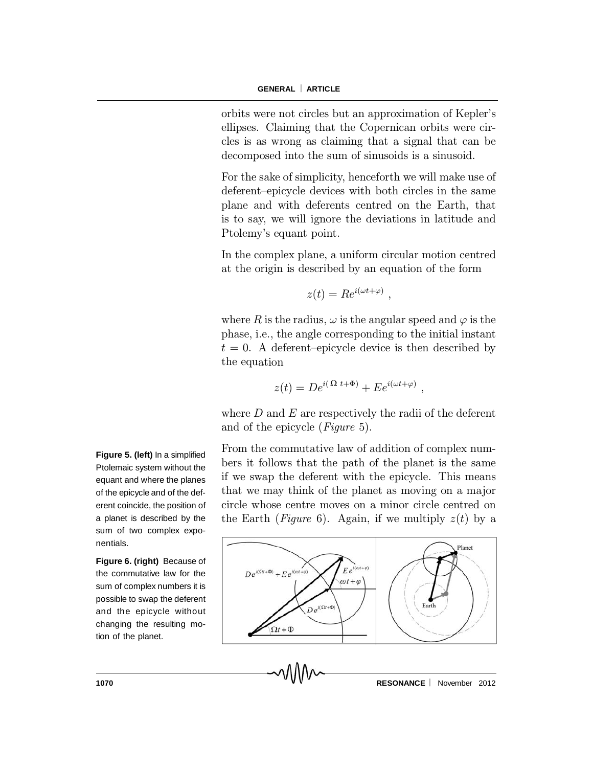orbits were not circles but an approximation of Kepler's ellipses. Claiming that the Copernican orbits were circles is as wrong as claiming that a signal that can be decomposed into the sum of sinusoids is a sinusoid.

For the sake of simplicity, henceforth we will make use of deferent-epicycle devices with both circles in the same plane and with deferents centred on the Earth, that is to say, we will ignore the deviations in latitude and Ptolemy's equant point.

In the complex plane, a uniform circular motion centred at the origin is described by an equation of the form

$$
z(t) = Re^{i(\omega t + \varphi)} ,
$$

where R is the radius,  $\omega$  is the angular speed and  $\varphi$  is the phase, i.e., the angle corresponding to the initial instant  $t = 0$ . A deferent-epicycle device is then described by the equation

$$
z(t) = De^{i(\Omega t + \Phi)} + E e^{i(\omega t + \varphi)},
$$

where  $D$  and  $E$  are respectively the radii of the deferent and of the epicycle (Figure 5).

From the commutative law of addition of complex numbers it follows that the path of the planet is the same if we swap the deferent with the epicycle. This means that we may think of the planet as moving on a major circle whose centre moves on a minor circle centred on the Earth (*Figure* 6). Again, if we multiply  $z(t)$  by a



**Figure 5. (left)** In a simplified Ptolemaic system without the equant and where the planes of the epicycle and of the deferent coincide, the position of a planet is described by the sum of two complex exponentials.

**Figure 6. (right)** Because of the commutative law for the sum of complex numbers it is possible to swap the deferent and the epicycle without changing the resulting motion of the planet.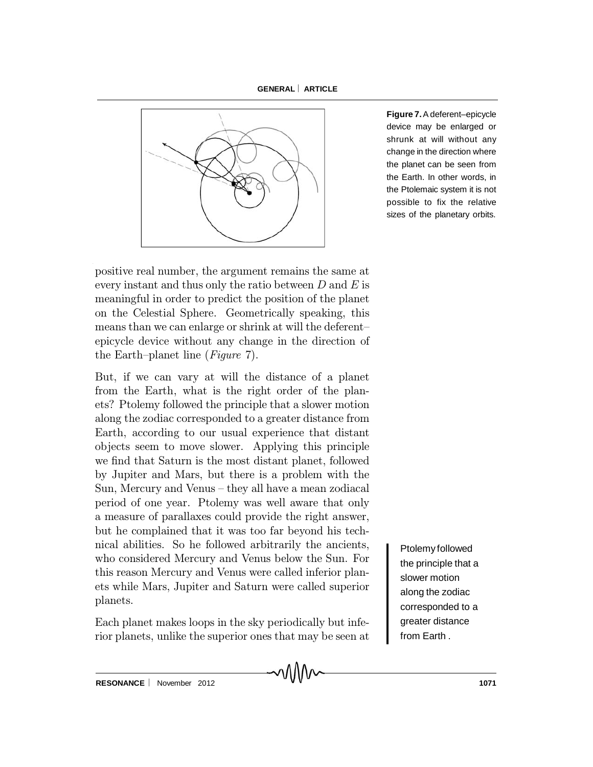



**Figure 7.**A deferent–epicycle device may be enlarged or shrunk at will without any change in the direction where the planet can be seen from the Earth. In other words, in the Ptolemaic system it is not possible to fix the relative sizes of the planetary orbits.

positive real number, the argument remains the same at every instant and thus only the ratio between  $D$  and  $E$  is meaningful in order to predict the position of the planet on the Celestial Sphere. Geometrically speaking, this means than we can enlarge or shrink at will the deferent{ epicycle device without any change in the direction of the Earth-planet line (Figure 7).

But, if we can vary at will the distance of a planet from the Earth, what is the right order of the planets? Ptolemy followed the principle that a slower motion along the zodiac corresponded to a greater distance from Earth, according to our usual experience that distant objects seem to move slower. Applying this principle we find that Saturn is the most distant planet, followed by Jupiter and Mars, but there is a problem with the Sun, Mercury and Venus – they all have a mean zodiacal period of one year. Ptolemy was well aware that only a measure of parallaxes could provide the right answer, but he complained that it was too far beyond his technical abilities. So he followed arbitrarily the ancients, who considered Mercury and Venus below the Sun. For this reason Mercury and Venus were called inferior planets while Mars, Jupiter and Saturn were called superior planets.

Each planet makes loops in the sky periodically but inferior planets, unlike the superior ones that may be seen at

Ptolemy followed the principle that a slower motion along the zodiac corresponded to a greater distance from Earth .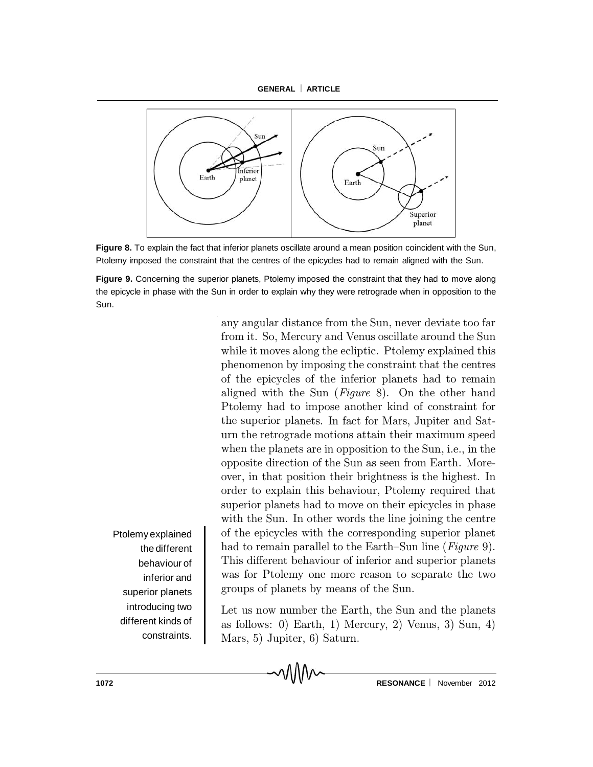



**Figure 8.** To explain the fact that inferior planets oscillate around a mean position coincident with the Sun, Ptolemy imposed the constraint that the centres of the epicycles had to remain aligned with the Sun.

**Figure 9.** Concerning the superior planets, Ptolemy imposed the constraint that they had to move along the epicycle in phase with the Sun in order to explain why they were retrograde when in opposition to the Sun.

> any angular distance from the Sun, never deviate too far from it. So, Mercury and Venus oscillate around the Sun while it moves along the ecliptic. Ptolemy explained this phenomenon by imposing the constraint that the centres of the epicycles of the inferior planets had to remain aligned with the Sun (Figure 8). On the other hand Ptolemy had to impose another kind of constraint for the superior planets. In fact for Mars, Jupiter and Saturn the retrograde motions attain their maximum speed when the planets are in opposition to the Sun, i.e., in the opposite direction of the Sun as seen from Earth. Moreover, in that position their brightness is the highest. In order to explain this behaviour, Ptolemy required that superior planets had to move on their epicycles in phase with the Sun. In other words the line joining the centre of the epicycles with the corresponding superior planet had to remain parallel to the Earth-Sun line (Figure 9). This different behaviour of inferior and superior planets was for Ptolemy one more reason to separate the two groups of planets by means of the Sun.

> Let us now number the Earth, the Sun and the planets as follows: 0) Earth, 1) Mercury, 2) Venus, 3) Sun, 4) Mars, 5) Jupiter, 6) Saturn.

Ptolemy explained the different behaviour of inferior and superior planets introducing two different kinds of constraints.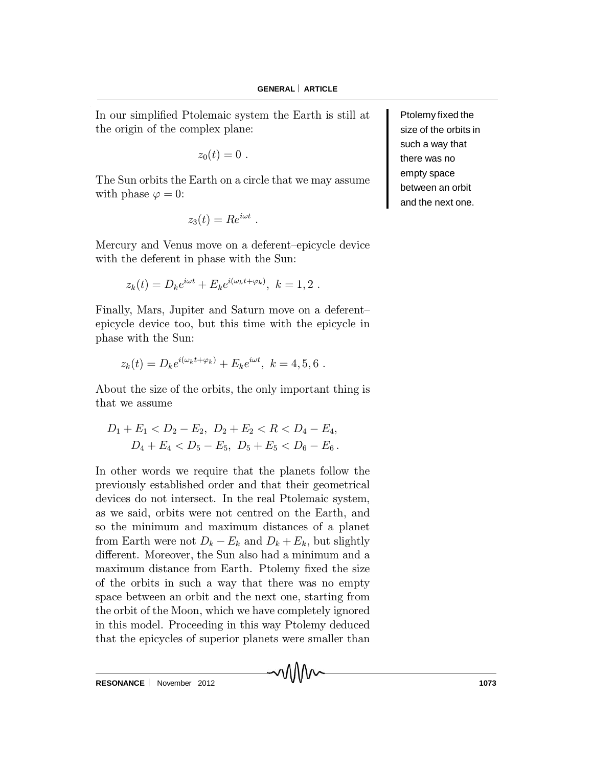In our simplified Ptolemaic system the Earth is still at the origin of the complex plane:

$$
z_0(t)=0.
$$

The Sun orbits the Earth on a circle that we may assume with phase  $\varphi = 0$ :

$$
z_3(t) = Re^{i\omega t} .
$$

Mercury and Venus move on a deferent-epicycle device with the deferent in phase with the Sun:

$$
z_k(t) = D_k e^{i\omega t} + E_k e^{i(\omega_k t + \varphi_k)}, \ k = 1, 2.
$$

Finally, Mars, Jupiter and Saturn move on a deferent{ epicycle device too, but this time with the epicycle in phase with the Sun:

$$
z_k(t) = D_k e^{i(\omega_k t + \varphi_k)} + E_k e^{i\omega t}, \ k = 4, 5, 6.
$$

About the size of the orbits, the only important thing is that we assume

$$
D_1 + E_1 < D_2 - E_2, \ D_2 + E_2 < R < D_4 - E_4, \\
D_4 + E_4 < D_5 - E_5, \ D_5 + E_5 < D_6 - E_6.
$$

In other words we require that the planets follow the previously established order and that their geometrical devices do not intersect. In the real Ptolemaic system, as we said, orbits were not centred on the Earth, and so the minimum and maximum distances of a planet from Earth were not  $D_k - E_k$  and  $D_k + E_k$ , but slightly different. Moreover, the Sun also had a minimum and a maximum distance from Earth. Ptolemy fixed the size of the orbits in such a way that there was no empty space between an orbit and the next one, starting from the orbit of the Moon, which we have completely ignored in this model. Proceeding in this way Ptolemy deduced that the epicycles of superior planets were smaller than

Ptolemy fixed the size of the orbits in such a way that there was no empty space between an orbit and the next one.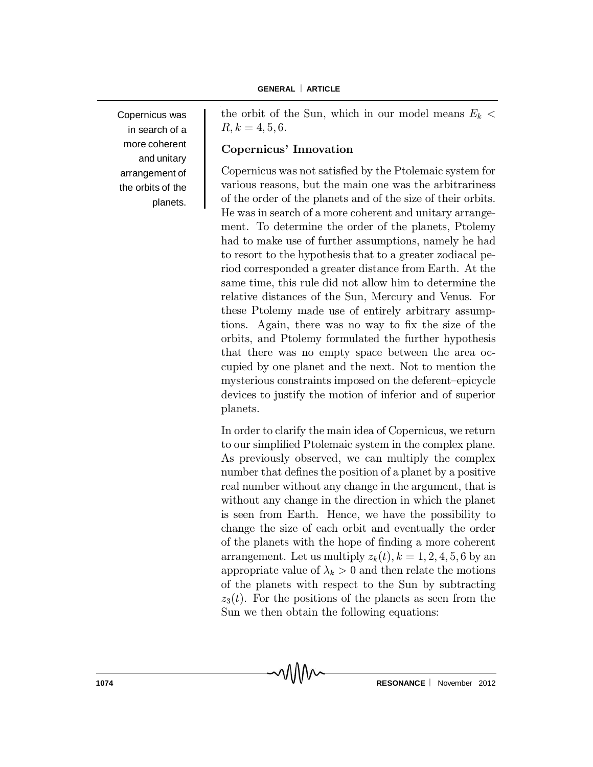Copernicus was in search of a more coherent and unitary arrangement of the orbits of the planets.

the orbit of the Sun, which in our model means  $E_k$  <  $R, k = 4, 5, 6.$ 

## Copernicus' Innovation

riod corresponded a greater distance from Earth. At the Copernicus was not satisfied by the Ptolemaic system for various reasons, but the main one was the arbitrariness of the order of the planets and of the size of their orbits. He was in search of a more coherent and unitary arrangement. To determine the order of the planets, Ptolemy had to make use of further assumptions, namely he had to resort to the hypothesis that to a greater zodiacal pesame time, this rule did not allow him to determine the relative distances of the Sun, Mercury and Venus. For these Ptolemy made use of entirely arbitrary assumptions. Again, there was no way to fix the size of the orbits, and Ptolemy formulated the further hypothesis that there was no empty space between the area occupied by one planet and the next. Not to mention the mysterious constraints imposed on the deferent-epicycle devices to justify the motion of inferior and of superior planets.

In order to clarify the main idea of Copernicus, we return to our simplified Ptolemaic system in the complex plane. As previously observed, we can multiply the complex number that defines the position of a planet by a positive real number without any change in the argument, that is without any change in the direction in which the planet is seen from Earth. Hence, we have the possibility to change the size of each orbit and eventually the order of the planets with the hope of finding a more coherent arrangement. Let us multiply  $z_k(t)$ ,  $k = 1, 2, 4, 5, 6$  by an appropriate value of  $\lambda_k > 0$  and then relate the motions of the planets with respect to the Sun by subtracting  $z_3(t)$ . For the positions of the planets as seen from the Sun we then obtain the following equations:

MM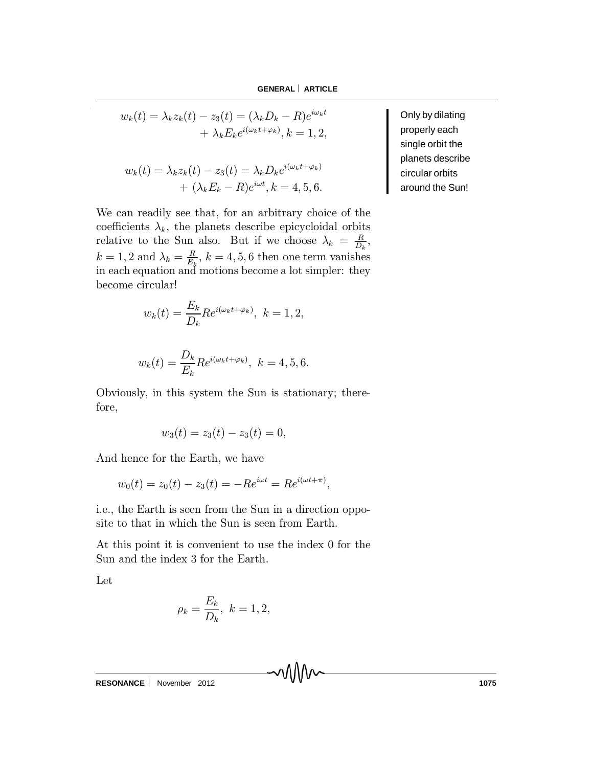$$
w_k(t) = \lambda_k z_k(t) - z_3(t) = (\lambda_k D_k - R)e^{i\omega_k t}
$$
  
+  $\lambda_k E_k e^{i(\omega_k t + \varphi_k)}, k = 1, 2,$   

$$
w_k(t) = \lambda_k z_k(t) - z_3(t) = \lambda_k D_k e^{i(\omega_k t + \varphi_k)}
$$
  
+  $(\lambda_k E_k - R)e^{i\omega t}, k = 4, 5, 6.$ 

We can readily see that, for an arbitrary choice of the coefficients  $\lambda_k$ , the planets describe epicycloidal orbits relative to the Sun also. But if we choose  $\lambda_k = \frac{R}{D_k}$ ,  $k = 1, 2$  and  $\lambda_k = \frac{R}{E_k}$ ,  $k = 4, 5, 6$  then one term vanishes in each equation and motions become a lot simpler: they become circular!

$$
w_k(t) = \frac{E_k}{D_k} Re^{i(\omega_k t + \varphi_k)}, \ k = 1, 2,
$$

$$
w_k(t) = \frac{D_k}{E_k} Re^{i(\omega_k t + \varphi_k)}, \ k = 4, 5, 6.
$$

Obviously, in this system the Sun is stationary; therefore,

$$
w_3(t) = z_3(t) - z_3(t) = 0,
$$

And hence for the Earth, we have

$$
w_0(t) = z_0(t) - z_3(t) = -Re^{i\omega t} = Re^{i(\omega t + \pi)},
$$

i.e., the Earth is seen from the Sun in a direction opposite to that in which the Sun is seen from Earth.

At this point it is convenient to use the index 0 for the Sun and the index 3 for the Earth.

Let

$$
\rho_k = \frac{E_k}{D_k}, \ k = 1, 2,
$$

**RESONANCE** November 2012 **1075** 

Only by dilating properly each single orbit the planets describe circular orbits around the Sun!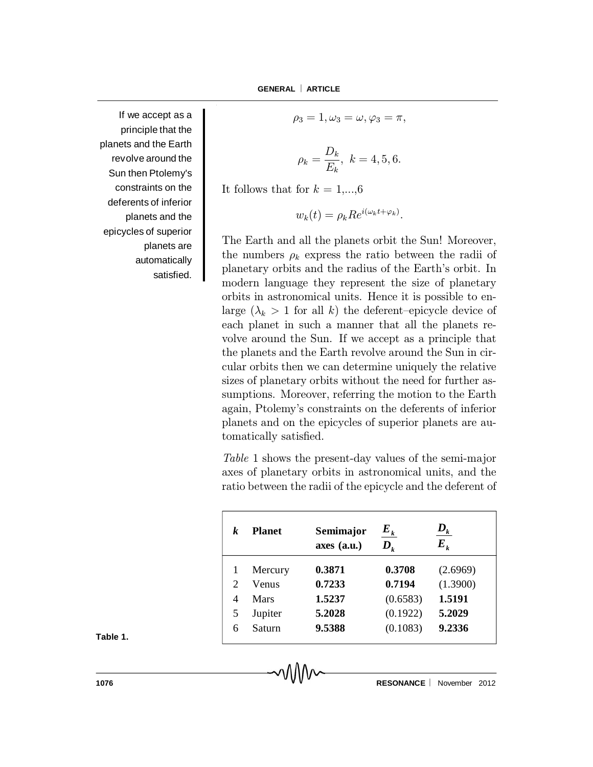If we accept as a principle that the planets and the Earth revolve around the Sun then Ptolemy's constraints on the deferents of inferior planets and the epicycles of superior planets are automatically satisfied.

$$
p_3 = 1, \omega_3 = \omega, \varphi_3 = \pi
$$
  

$$
\rho_k = \frac{D_k}{E_k}, \ k = 4, 5, 6.
$$

It follows that for  $k = 1,...,6$ 

$$
w_k(t) = \rho_k R e^{i(\omega_k t + \varphi_k)}.
$$

The Earth and all the planets orbit the Sun! Moreover, the numbers  $\rho_k$  express the ratio between the radii of planetary orbits and the radius of the Earth's orbit. In modern language they represent the size of planetary orbits in astronomical units. Hence it is possible to enlarge  $(\lambda_k > 1$  for all k) the deferent-epicycle device of each planet in such a manner that all the planets revolve around the Sun. If we accept as a principle that the planets and the Earth revolve around the Sun in circular orbits then we can determine uniquely the relative sizes of planetary orbits without the need for further assumptions. Moreover, referring the motion to the Earth again, Ptolemy's constraints on the deferents of inferior planets and on the epicycles of superior planets are automatically satisfied.

Table 1 shows the present-day values of the semi-major axes of planetary orbits in astronomical units, and the ratio between the radii of the epicycle and the deferent of

| k                           | <b>Planet</b> | Semimajor<br>$axes$ $(a.u.)$ | $E_{k}$<br>$\bm{D}_{\bm{\nu}}$ | $\bm{D}_k$<br>$\bm{E}_{\bm{k}}$ |
|-----------------------------|---------------|------------------------------|--------------------------------|---------------------------------|
|                             | Mercury       | 0.3871                       | 0.3708                         | (2.6969)                        |
| $\mathcal{D}_{\mathcal{L}}$ | Venus         | 0.7233                       | 0.7194                         | (1.3900)                        |
| 4                           | Mars          | 1.5237                       | (0.6583)                       | 1.5191                          |
| 5                           | Jupiter       | 5.2028                       | (0.1922)                       | 5.2029                          |
| 6                           | Saturn        | 9.5388                       | (0.1083)                       | 9.2336                          |
|                             |               |                              |                                |                                 |

**Table 1.**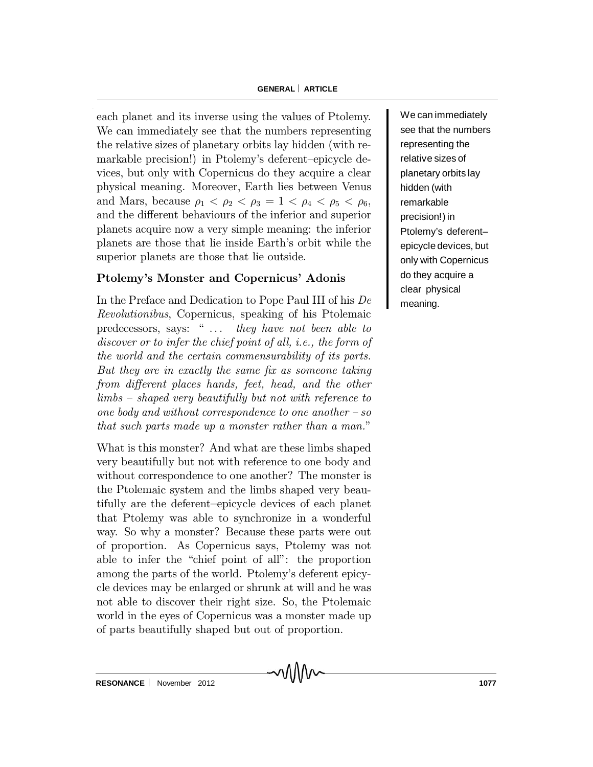each planet and its inverse using the values of Ptolemy. We can immediately see that the numbers representing the relative sizes of planetary orbits lay hidden (with remarkable precision!) in Ptolemy's deferent-epicycle devices, but only with Copernicus do they acquire a clear physical meaning. Moreover, Earth lies between Venus and Mars, because  $\rho_1 < \rho_2 < \rho_3 = 1 < \rho_4 < \rho_5 < \rho_6$ , and the different behaviours of the inferior and superior planets acquire now a very simple meaning: the inferior planets are those that lie inside Earth's orbit while the superior planets are those that lie outside.

## Ptolemy's Monster and Copernicus' Adonis

In the Preface and Dedication to Pope Paul III of his De Revolutionibus, Copernicus, speaking of his Ptolemaic predecessors, says: "... they have not been able to discover or to infer the chief point of all, i.e., the form of the world and the certain commensurability of its parts. But they are in exactly the same fix as someone taking from different places hands, feet, head, and the other  $\lim_{s \to \infty} b_s$  is shaped very beautifully but not with reference to one body and without correspondence to one another  $-$  so that such parts made up a monster rather than a man."

What is this monster? And what are these limbs shaped very beautifully but not with reference to one body and without correspondence to one another? The monster is the Ptolemaic system and the limbs shaped very beautifully are the deferent-epicycle devices of each planet that Ptolemy was able to synchronize in a wonderful way. So why a monster? Because these parts were out of proportion. As Copernicus says, Ptolemy was not able to infer the "chief point of all": the proportion among the parts of the world. Ptolemy's deferent epicycle devices may be enlarged or shrunk at will and he was not able to discover their right size. So, the Ptolemaic world in the eyes of Copernicus was a monster made up of parts beautifully shaped but out of proportion.

We can immediately see that the numbers representing the relative sizes of planetary orbits lay hidden (with remarkable precision!) in Ptolemy's deferent– epicycle devices, but only with Copernicus do they acquire a clear physical meaning.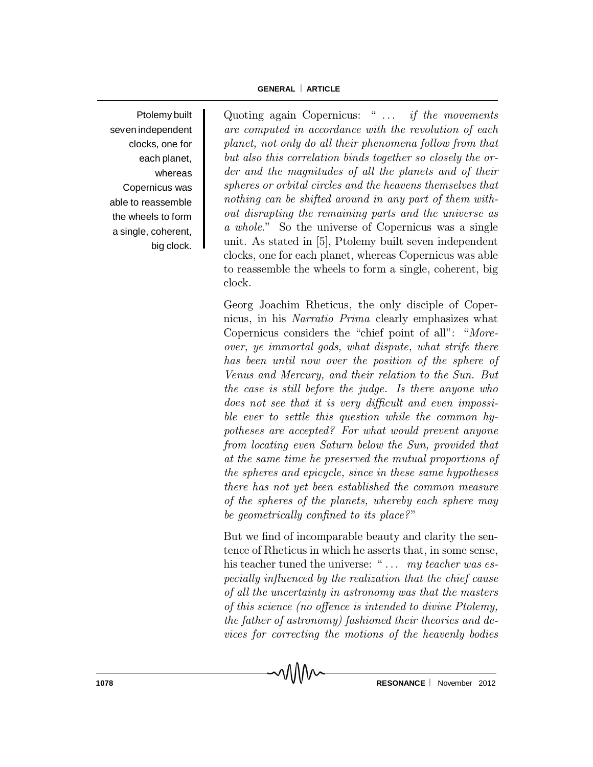Ptolemy built seven independent clocks, one for each planet, whereas Copernicus was able to reassemble the wheels to form a single, coherent, big clock. Quoting again Copernicus:  $\cdot \cdot \cdot$  if the movements are computed in accordance with the revolution of each planet, not only do all their phenomena follow from that but also this correlation binds together so closely the order and the magnitudes of all the planets and of their spheres or orbital circles and the heavens themselves that nothing can be shifted around in any part of them without disrupting the remaining parts and the universe as a whole." So the universe of Copernicus was a single unit. As stated in [5], Ptolemy built seven independent clocks, one for each planet, whereas Copernicus was able to reassemble the wheels to form a single, coherent, big clock.

Georg Joachim Rheticus, the only disciple of Copernicus, in his Narratio Prima clearly emphasizes what Copernicus considers the "chief point of all": "Moreover, ye immortal gods, what dispute, what strife there has been until now over the position of the sphere of Venus and Mercury, and their relation to the Sun. But the case is still before the judge. Is there anyone who  $does not see that it is very difficult and even impossible.$ ble ever to settle this question while the common hypotheses are accepted? For what would prevent anyone from locating even Saturn below the Sun, provided that at the same time he preserved the mutual proportions of the spheres and epicycle, since in these same hypotheses there has not yet been established the common measure of the spheres of the planets, whereby each sphere may be geometrically confined to its place?"

But we find of incomparable beauty and clarity the sentence of Rheticus in which he asserts that, in some sense, his teacher tuned the universe:  $\cdot \cdot \cdot \cdot$ ... my teacher was especially influenced by the realization that the chief cause of all the uncertainty in astronomy was that the masters of this science (no offence is intended to divine Ptolemy, the father of astronomy) fashioned their theories and devices for correcting the motions of the heavenly bodies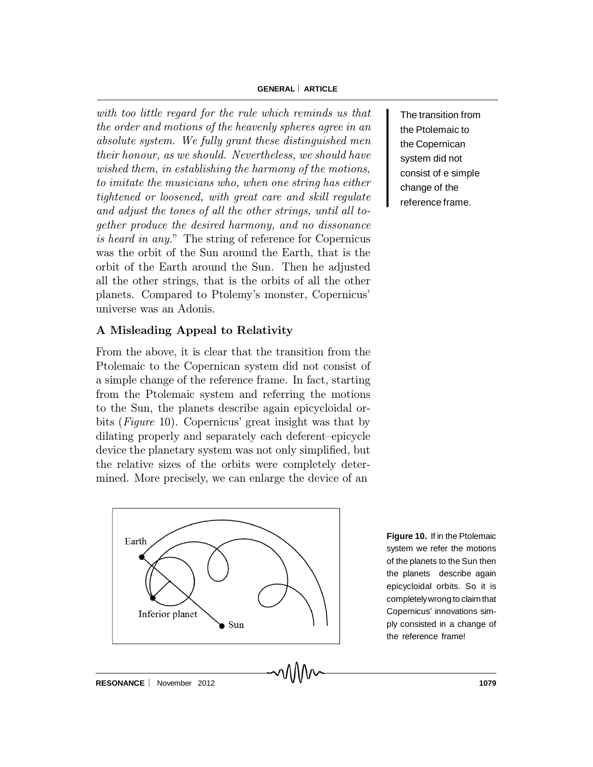#### **GENERAL** ¨ **ARTICLE**

with too little regard for the rule which reminds us that the order and motions of the heavenly spheres agree in an absolute system. We fully grant these distinguished men their honour, as we should. Nevertheless, we should have wished them, in establishing the harmony of the motions, to imitate the musicians who, when one string has either tightened or loosened, with great care and skill regulate and adjust the tones of all the other strings, until all together produce the desired harmony, and no dissonance is heard in any." The string of reference for Copernicus was the orbit of the Sun around the Earth, that is the orbit of the Earth around the Sun. Then he adjusted all the other strings, that is the orbits of all the other planets. Compared to Ptolemy's monster, Copernicus' universe was an Adonis.

## A Misleading Appeal to Relativity

From the above, it is clear that the transition from the Ptolemaic to the Copernican system did not consist of a simple change of the reference frame. In fact, starting from the Ptolemaic system and referring the motions to the Sun, the planets describe again epicycloidal orbits (Figure 10). Copernicus' great insight was that by dilating properly and separately each deferent-epicycle device the planetary system was not only simplified, but the relative sizes of the orbits were completely determined. More precisely, we can enlarge the device of an



The transition from the Ptolemaic to the Copernican system did not consist of e simple change of the reference frame.

**Figure 10.** If in the Ptolemaic system we refer the motions of the planets to the Sun then the planets describe again epicycloidal orbits. So it is completelywrong to claim that Copernicus' innovations simply consisted in a change of the reference frame!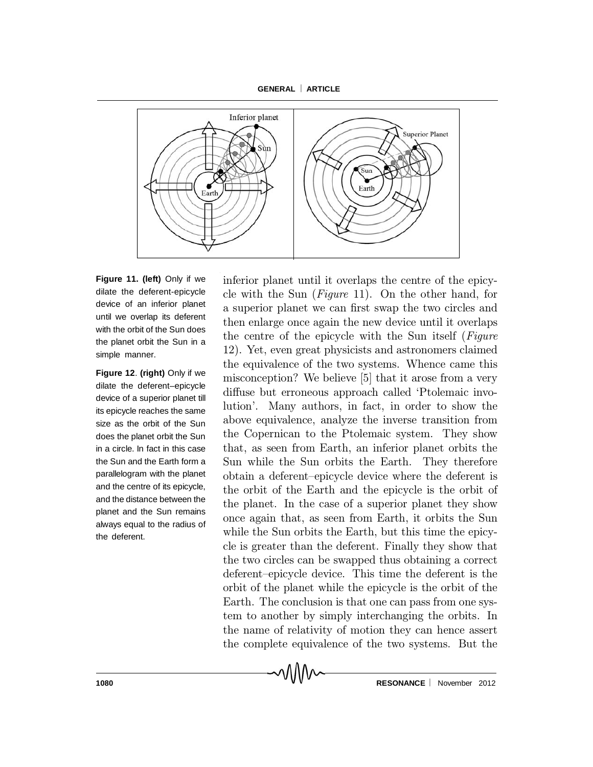**GENERAL** ¨ **ARTICLE**



∧∧∧∧∼

**Figure 11. (left)** Only if we dilate the deferent-epicycle device of an inferior planet until we overlap its deferent with the orbit of the Sun does the planet orbit the Sun in a simple manner.

**Figure 12**. **(right)** Only if we dilate the deferent–epicycle device of a superior planet till its epicycle reaches the same size as the orbit of the Sun does the planet orbit the Sun in a circle. In fact in this case the Sun and the Earth form a parallelogram with the planet and the centre of its epicycle, and the distance between the planet and the Sun remains always equal to the radius of the deferent.

inferior planet until it overlaps the centre of the epicycle with the Sun (Figure 11). On the other hand, for a superior planet we can first swap the two circles and then enlarge once again the new device until it overlaps the centre of the epicycle with the Sun itself (Figure 12). Yet, even great physicists and astronomers claimed the equivalence of the two systems. Whence came this misconception? We believe [5] that it arose from a very diffuse but erroneous approach called 'Ptolemaic involution'. Many authors, in fact, in order to show the above equivalence, analyze the inverse transition from the Copernican to the Ptolemaic system. They show that, as seen from Earth, an inferior planet orbits the Sun while the Sun orbits the Earth. They therefore obtain a deferent-epicycle device where the deferent is the orbit of the Earth and the epicycle is the orbit of the planet. In the case of a superior planet they show once again that, as seen from Earth, it orbits the Sun while the Sun orbits the Earth, but this time the epicycle is greater than the deferent. Finally they show that the two circles can be swapped thus obtaining a correct deferent-epicycle device. This time the deferent is the orbit of the planet while the epicycle is the orbit of the Earth. The conclusion is that one can pass from one system to another by simply interchanging the orbits. In the name of relativity of motion they can hence assert the complete equivalence of the two systems. But the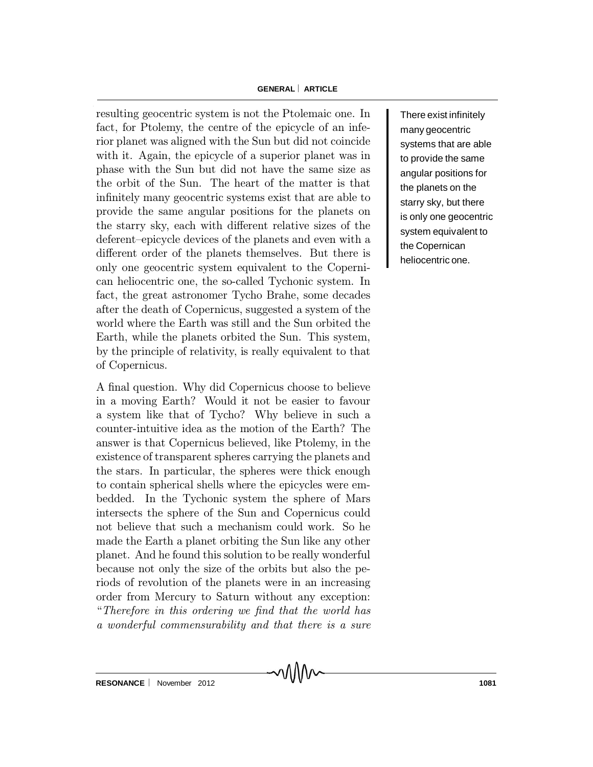#### **GENERAL** ¨ **ARTICLE**

resulting geocentric system is not the Ptolemaic one. In fact, for Ptolemy, the centre of the epicycle of an inferior planet was aligned with the Sun but did not coincide with it. Again, the epicycle of a superior planet was in phase with the Sun but did not have the same size as the orbit of the Sun. The heart of the matter is that infinitely many geocentric systems exist that are able to provide the same angular positions for the planets on the starry sky, each with different relative sizes of the deferent-epicycle devices of the planets and even with a different order of the planets themselves. But there is only one geocentric system equivalent to the Copernican heliocentric one, the so-called Tychonic system. In fact, the great astronomer Tycho Brahe, some decades after the death of Copernicus, suggested a system of the world where the Earth was still and the Sun orbited the Earth, while the planets orbited the Sun. This system, by the principle of relativity, is really equivalent to that of Copernicus.

A final question. Why did Copernicus choose to believe in a moving Earth? Would it not be easier to favour a system like that of Tycho? Why believe in such a counter-intuitive idea as the motion of the Earth? The answer is that Copernicus believed, like Ptolemy, in the existence of transparent spheres carrying the planets and the stars. In particular, the spheres were thick enough to contain spherical shells where the epicycles were embedded. In the Tychonic system the sphere of Mars intersects the sphere of the Sun and Copernicus could not believe that such a mechanism could work. So he made the Earth a planet orbiting the Sun like any other planet. And he found this solution to be really wonderful because not only the size of the orbits but also the periods of revolution of the planets were in an increasing order from Mercury to Saturn without any exception:  $\Gamma$ Therefore in this ordering we find that the world has a wonderful commensurability and that there is a sure There exist infinitely many geocentric systems that are able to provide the same angular positions for the planets on the starry sky, but there is only one geocentric system equivalent to the Copernican heliocentric one.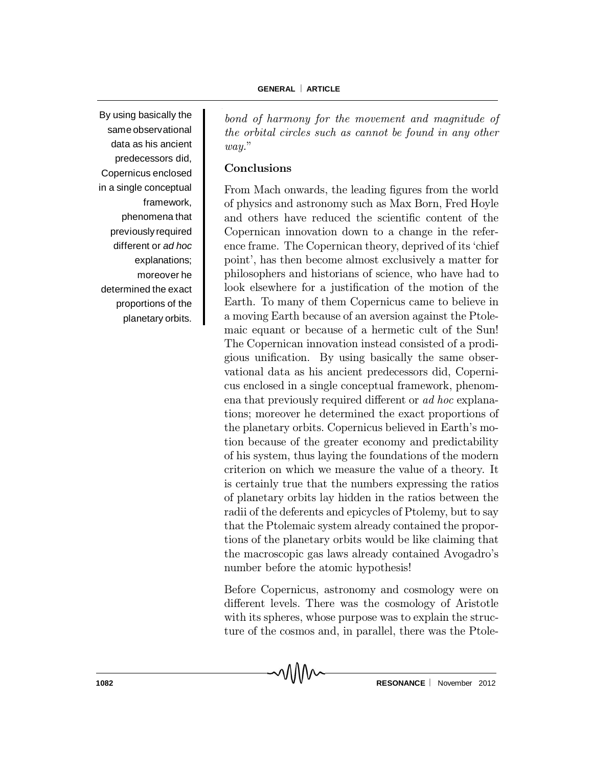By using basically the same observational data as his ancient predecessors did, Copernicus enclosed in a single conceptual framework, phenomena that previously required different or *ad hoc* explanations; moreover he determined the exact proportions of the planetary orbits.

bond of harmony for the movement and magnitude of the orbital circles such as cannot be found in any other way."

## Conclusions

From Mach onwards, the leading figures from the world of physics and astronomy such as Max Born, Fred Hoyle and others have reduced the scientific content of the Copernican innovation down to a change in the reference frame. The Copernican theory, deprived of its 'chief point', has then become almost exclusively a matter for philosophers and historians of science, who have had to look elsewhere for a justification of the motion of the Earth. To many of them Copernicus came to believe in a moving Earth because of an aversion against the Ptolemaic equant or because of a hermetic cult of the Sun! The Copernican innovation instead consisted of a prodigious unification. By using basically the same observational data as his ancient predecessors did, Copernicus enclosed in a single conceptual framework, phenomena that previously required different or ad hoc explanations; moreover he determined the exact proportions of the planetary orbits. Copernicus believed in Earth's motion because of the greater economy and predictability of his system, thus laying the foundations of the modern criterion on which we measure the value of a theory. It is certainly true that the numbers expressing the ratios of planetary orbits lay hidden in the ratios between the radii of the deferents and epicycles of Ptolemy, but to say that the Ptolemaic system already contained the proportions of the planetary orbits would be like claiming that the macroscopic gas laws already contained Avogadro's number before the atomic hypothesis!

Before Copernicus, astronomy and cosmology were on different levels. There was the cosmology of Aristotle with its spheres, whose purpose was to explain the structure of the cosmos and, in parallel, there was the Ptole-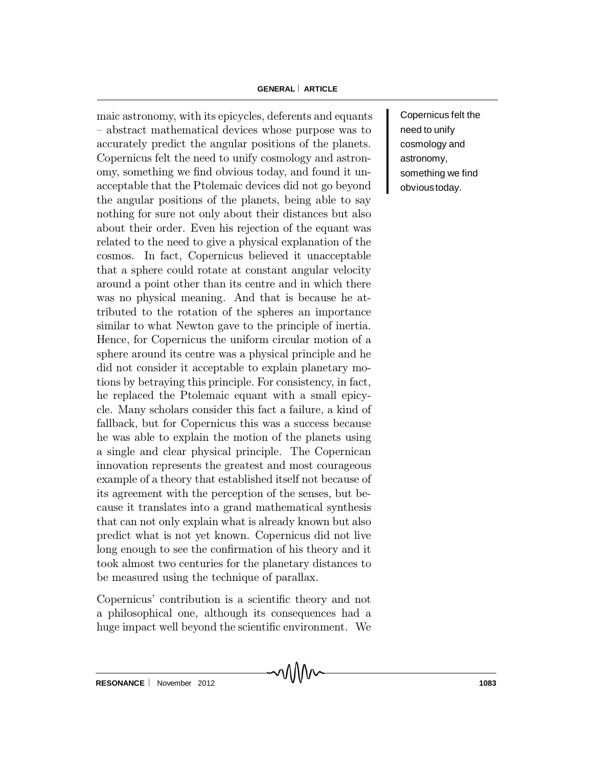#### **GENERAL** ¨ **ARTICLE**

maic astronomy, with its epicycles, deferents and equants { abstract mathematical devices whose purpose was to accurately predict the angular positions of the planets. Copernicus felt the need to unify cosmology and astronomy, something we find obvious today, and found it unacceptable that the Ptolemaic devices did not go beyond the angular positions of the planets, being able to say nothing for sure not only about their distances but also about their order. Even his rejection of the equant was related to the need to give a physical explanation of the cosmos. In fact, Copernicus believed it unacceptable that a sphere could rotate at constant angular velocity around a point other than its centre and in which there was no physical meaning. And that is because he attributed to the rotation of the spheres an importance similar to what Newton gave to the principle of inertia. Hence, for Copernicus the uniform circular motion of a sphere around its centre was a physical principle and he did not consider it acceptable to explain planetary motions by betraying this principle. For consistency, in fact, he replaced the Ptolemaic equant with a small epicycle. Many scholars consider this fact a failure, a kind of fallback, but for Copernicus this was a success because he was able to explain the motion of the planets using a single and clear physical principle. The Copernican innovation represents the greatest and most courageous example of a theory that established itself not because of its agreement with the perception of the senses, but because it translates into a grand mathematical synthesis that can not only explain what is already known but also predict what is not yet known. Copernicus did not live long enough to see the confirmation of his theory and it took almost two centuries for the planetary distances to be measured using the technique of parallax.

Copernicus' contribution is a scientific theory and not a philosophical one, although its consequences had a huge impact well beyond the scientific environment. We Copernicus felt the need to unify cosmology and astronomy, something we find obvioustoday.